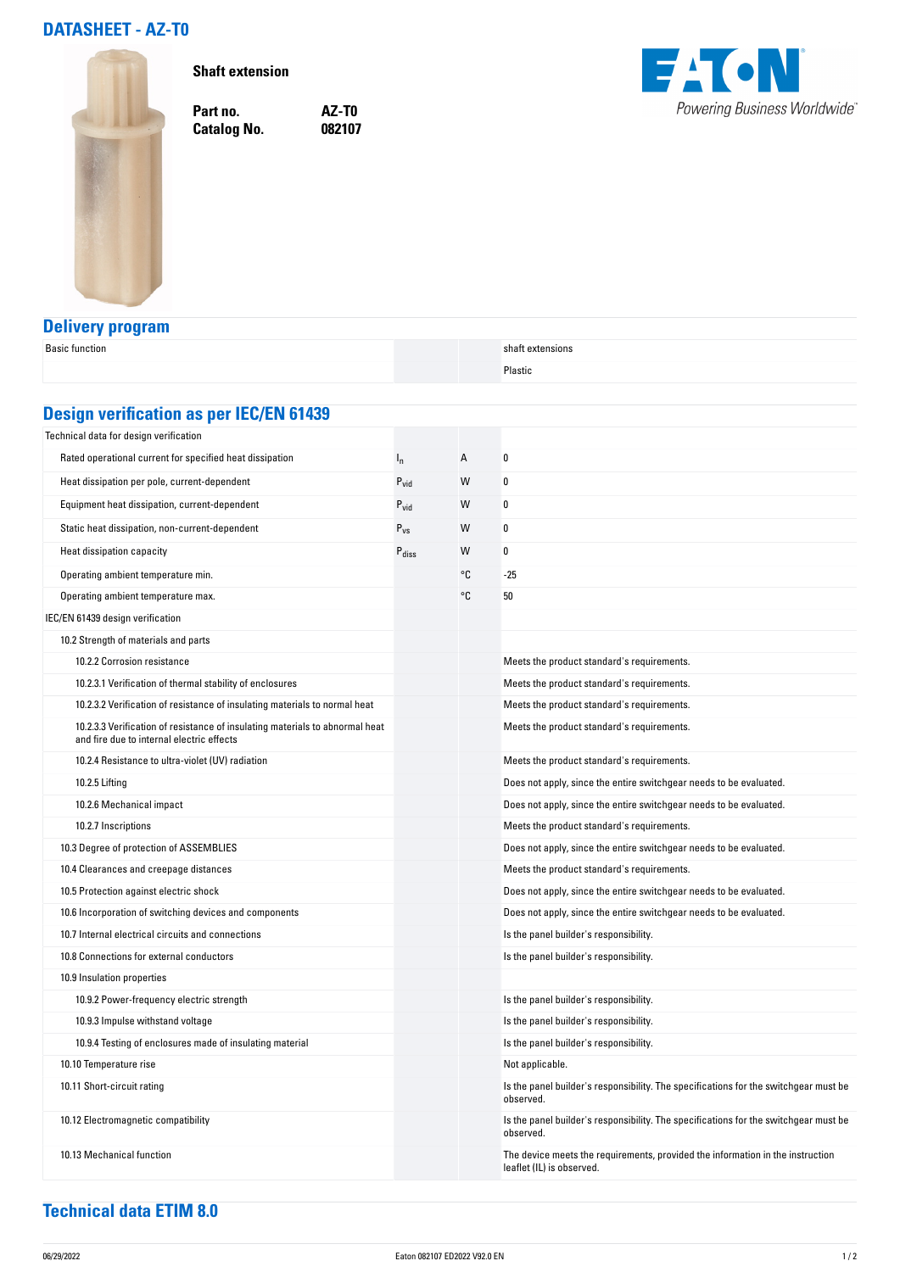## **DATASHEET - AZ-T0**



**Shaft extension**

**Catalog No.** 

**Part no. AZ-T0**



## **Delivery program**

| <b>Basic function</b>                                                                                                     |                   |    | shaft extensions                                                                                            |  |  |  |
|---------------------------------------------------------------------------------------------------------------------------|-------------------|----|-------------------------------------------------------------------------------------------------------------|--|--|--|
|                                                                                                                           |                   |    | Plastic                                                                                                     |  |  |  |
|                                                                                                                           |                   |    |                                                                                                             |  |  |  |
| <b>Design verification as per IEC/EN 61439</b>                                                                            |                   |    |                                                                                                             |  |  |  |
| Technical data for design verification                                                                                    |                   |    |                                                                                                             |  |  |  |
| Rated operational current for specified heat dissipation                                                                  | $I_{n}$           | А  | 0                                                                                                           |  |  |  |
| Heat dissipation per pole, current-dependent                                                                              | $P_{\text{vid}}$  | W  | 0                                                                                                           |  |  |  |
| Equipment heat dissipation, current-dependent                                                                             | $P_{\text{vid}}$  | W  | 0                                                                                                           |  |  |  |
| Static heat dissipation, non-current-dependent                                                                            | $P_{VS}$          | W  | 0                                                                                                           |  |  |  |
| Heat dissipation capacity                                                                                                 | P <sub>diss</sub> | W  | 0                                                                                                           |  |  |  |
| Operating ambient temperature min.                                                                                        |                   | °C | -25                                                                                                         |  |  |  |
| Operating ambient temperature max.                                                                                        |                   | °C | 50                                                                                                          |  |  |  |
| IEC/EN 61439 design verification                                                                                          |                   |    |                                                                                                             |  |  |  |
| 10.2 Strength of materials and parts                                                                                      |                   |    |                                                                                                             |  |  |  |
| 10.2.2 Corrosion resistance                                                                                               |                   |    | Meets the product standard's requirements.                                                                  |  |  |  |
| 10.2.3.1 Verification of thermal stability of enclosures                                                                  |                   |    | Meets the product standard's requirements.                                                                  |  |  |  |
| 10.2.3.2 Verification of resistance of insulating materials to normal heat                                                |                   |    | Meets the product standard's requirements.                                                                  |  |  |  |
| 10.2.3.3 Verification of resistance of insulating materials to abnormal heat<br>and fire due to internal electric effects |                   |    | Meets the product standard's requirements.                                                                  |  |  |  |
| 10.2.4 Resistance to ultra-violet (UV) radiation                                                                          |                   |    | Meets the product standard's requirements.                                                                  |  |  |  |
| 10.2.5 Lifting                                                                                                            |                   |    | Does not apply, since the entire switchgear needs to be evaluated.                                          |  |  |  |
| 10.2.6 Mechanical impact                                                                                                  |                   |    | Does not apply, since the entire switchgear needs to be evaluated.                                          |  |  |  |
| 10.2.7 Inscriptions                                                                                                       |                   |    | Meets the product standard's requirements.                                                                  |  |  |  |
| 10.3 Degree of protection of ASSEMBLIES                                                                                   |                   |    | Does not apply, since the entire switchgear needs to be evaluated.                                          |  |  |  |
| 10.4 Clearances and creepage distances                                                                                    |                   |    | Meets the product standard's requirements.                                                                  |  |  |  |
| 10.5 Protection against electric shock                                                                                    |                   |    | Does not apply, since the entire switchgear needs to be evaluated.                                          |  |  |  |
| 10.6 Incorporation of switching devices and components                                                                    |                   |    | Does not apply, since the entire switchgear needs to be evaluated.                                          |  |  |  |
| 10.7 Internal electrical circuits and connections                                                                         |                   |    | Is the panel builder's responsibility.                                                                      |  |  |  |
| 10.8 Connections for external conductors                                                                                  |                   |    | Is the panel builder's responsibility.                                                                      |  |  |  |
| 10.9 Insulation properties                                                                                                |                   |    |                                                                                                             |  |  |  |
| 10.9.2 Power-frequency electric strength                                                                                  |                   |    | Is the panel builder's responsibility.                                                                      |  |  |  |
| 10.9.3 Impulse withstand voltage                                                                                          |                   |    | Is the panel builder's responsibility.                                                                      |  |  |  |
| 10.9.4 Testing of enclosures made of insulating material                                                                  |                   |    | Is the panel builder's responsibility.                                                                      |  |  |  |
| 10.10 Temperature rise                                                                                                    |                   |    | Not applicable.                                                                                             |  |  |  |
| 10.11 Short-circuit rating                                                                                                |                   |    | Is the panel builder's responsibility. The specifications for the switchgear must be<br>observed.           |  |  |  |
| 10.12 Electromagnetic compatibility                                                                                       |                   |    | Is the panel builder's responsibility. The specifications for the switchgear must be<br>observed.           |  |  |  |
| 10.13 Mechanical function                                                                                                 |                   |    | The device meets the requirements, provided the information in the instruction<br>leaflet (IL) is observed. |  |  |  |

## **Technical data ETIM 8.0**